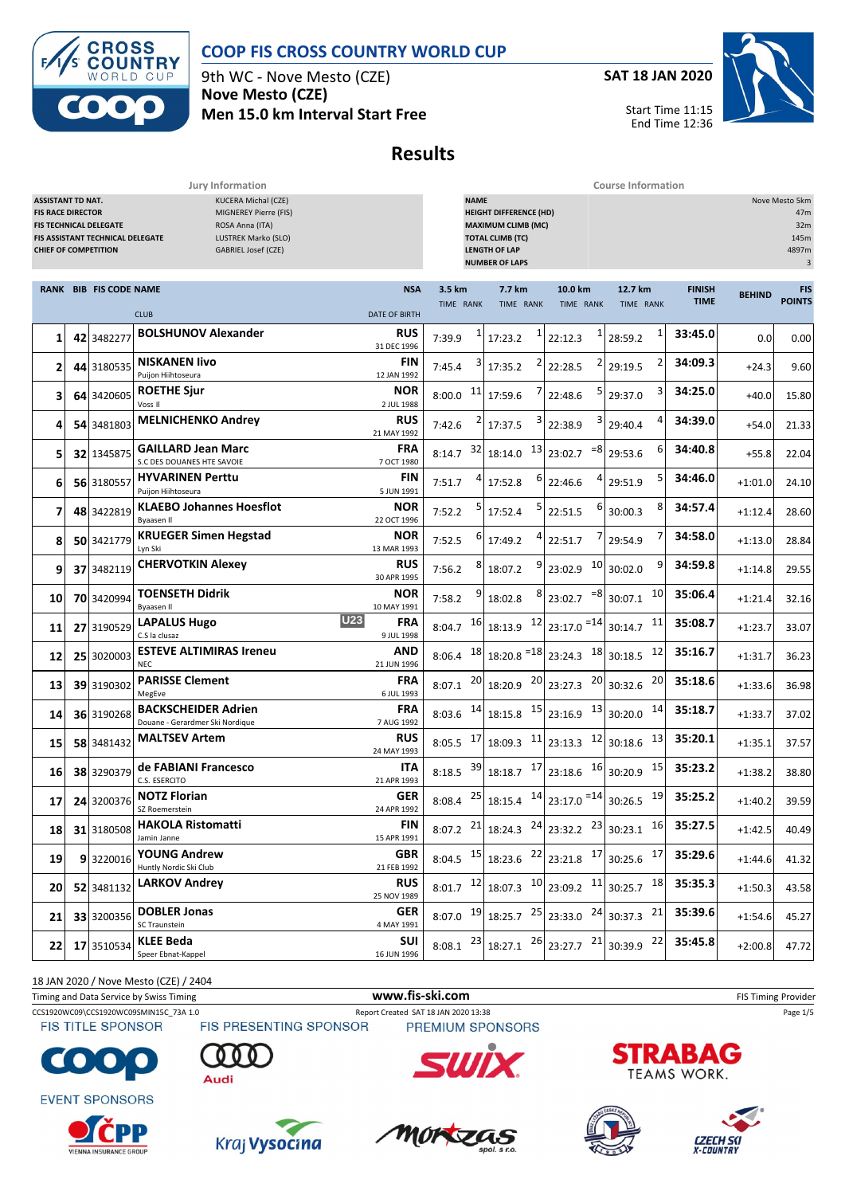

**ROSS**  $\overline{\mathbf{C}}$ **OUNTRY** CUP  $\mathsf{D}$ 

9th WC - Nove Mesto (CZE) **Nove Mesto (CZE) Men 15.0 km Interval Start Free** **SAT 18 JAN 2020**



Start Time 11:15 End Time 12:36

# **Results**

**Jury Information Course Information**

|           | <b>KUCERA Michal (CZE)</b><br><b>ASSISTANT TD NAT.</b><br>MIGNEREY Pierre (FIS)<br><b>FIS RACE DIRECTOR</b><br>ROSA Anna (ITA)<br>FIS TECHNICAL DELEGATE<br>FIS ASSISTANT TECHNICAL DELEGATE<br>LUSTREK Marko (SLO)<br><b>CHIEF OF COMPETITION</b><br>GABRIEL Josef (CZE) |            |                                                               |                                        | <b>NAME</b><br>Nove Mesto 5km<br><b>HEIGHT DIFFERENCE (HD)</b><br><b>MAXIMUM CLIMB (MC)</b><br><b>TOTAL CLIMB (TC)</b><br><b>LENGTH OF LAP</b><br><b>NUMBER OF LAPS</b> |    |                          |                                                                                                                                                |                                              |                              |               | 47m<br>32m<br>145m<br>4897m<br>3 |
|-----------|---------------------------------------------------------------------------------------------------------------------------------------------------------------------------------------------------------------------------------------------------------------------------|------------|---------------------------------------------------------------|----------------------------------------|-------------------------------------------------------------------------------------------------------------------------------------------------------------------------|----|--------------------------|------------------------------------------------------------------------------------------------------------------------------------------------|----------------------------------------------|------------------------------|---------------|----------------------------------|
|           | <b>RANK BIB FIS CODE NAME</b>                                                                                                                                                                                                                                             |            | <b>CLUB</b>                                                   | <b>NSA</b><br><b>DATE OF BIRTH</b>     | 3.5 km<br>TIME RANK                                                                                                                                                     |    | 7.7 km<br>TIME RANK      | 10.0 km<br>TIME RANK                                                                                                                           | 12.7 km<br>TIME RANK                         | <b>FINISH</b><br><b>TIME</b> | <b>BEHIND</b> | <b>FIS</b><br><b>POINTS</b>      |
| 1         |                                                                                                                                                                                                                                                                           | 42 3482277 | <b>BOLSHUNOV Alexander</b>                                    | <b>RUS</b><br>31 DEC 1996              | 7:39.9                                                                                                                                                                  | 1  | 17:23.2                  | 22:12.3                                                                                                                                        | 1<br>28:59.2                                 | 33:45.0                      | 0.0           | 0.00                             |
| 2         |                                                                                                                                                                                                                                                                           | 44 3180535 | <b>NISKANEN livo</b><br>Puijon Hiihtoseura                    | FIN<br>12 JAN 1992                     | 7:45.4                                                                                                                                                                  |    | 17:35.2                  | 22:28.5                                                                                                                                        | 2<br>29:19.5                                 | 34:09.3                      | $+24.3$       | 9.60                             |
| 3         |                                                                                                                                                                                                                                                                           | 64 3420605 | <b>ROETHE Sjur</b><br>Voss II                                 | <b>NOR</b><br>2 JUL 1988               | 8:00.0                                                                                                                                                                  | 11 | 17:59.6                  | 22:48.6                                                                                                                                        | 3<br>29:37.0                                 | 34:25.0                      | $+40.0$       | 15.80                            |
| 4         |                                                                                                                                                                                                                                                                           | 54 3481803 | <b>MELNICHENKO Andrey</b>                                     | <b>RUS</b><br>21 MAY 1992              | 7:42.6                                                                                                                                                                  |    | 17:37.5                  | 3<br>22:38.9                                                                                                                                   | 4<br>29:40.4                                 | 34:39.0                      | $+54.0$       | 21.33                            |
| 5         |                                                                                                                                                                                                                                                                           | 32 1345875 | <b>GAILLARD Jean Marc</b><br>S.C DES DOUANES HTE SAVOIE       | FRA<br>7 OCT 1980                      | 8:14.7                                                                                                                                                                  | 32 | 13<br>18:14.0            | $= 8$<br>23:02.7                                                                                                                               | 6<br>29:53.6                                 | 34:40.8                      | $+55.8$       | 22.04                            |
| 6         |                                                                                                                                                                                                                                                                           | 56 3180557 | <b>HYVARINEN Perttu</b><br>Puijon Hiihtoseura                 | FIN<br>5 JUN 1991                      | 7:51.7                                                                                                                                                                  |    | 17:52.8                  | 22:46.6                                                                                                                                        | 5<br>29:51.9                                 | 34:46.0                      | $+1:01.0$     | 24.10                            |
| 7         |                                                                                                                                                                                                                                                                           | 48 3422819 | <b>KLAEBO Johannes Hoesflot</b><br>Byaasen Il                 | <b>NOR</b><br>22 OCT 1996              | 7:52.2                                                                                                                                                                  |    | 17:52.4                  | 22:51.5                                                                                                                                        | 8<br>30:00.3                                 | 34:57.4                      | $+1:12.4$     | 28.60                            |
| 8         |                                                                                                                                                                                                                                                                           | 50 3421779 | <b>KRUEGER Simen Hegstad</b><br>Lyn Ski                       | <b>NOR</b><br>13 MAR 1993              | 7:52.5                                                                                                                                                                  | 6  | 17:49.2                  | 22:51.7                                                                                                                                        | 29:54.9                                      | 34:58.0                      | $+1:13.0$     | 28.84                            |
| 9         |                                                                                                                                                                                                                                                                           | 37 3482119 | <b>CHERVOTKIN Alexey</b>                                      | <b>RUS</b><br>30 APR 1995              | 7:56.2                                                                                                                                                                  |    | 18:07.2                  | <b>10</b><br>23:02.9                                                                                                                           | 9<br>30:02.0                                 | 34:59.8                      | $+1:14.8$     | 29.55                            |
| 10        |                                                                                                                                                                                                                                                                           | 70 3420994 | <b>TOENSETH Didrik</b><br>Byaasen II                          | <b>NOR</b><br>10 MAY 1991              | 7:58.2                                                                                                                                                                  |    | 18:02.8                  | $= 8$<br>23:02.7                                                                                                                               | 10<br>30:07.1                                | 35:06.4                      | $+1:21.4$     | 32.16                            |
| 11        |                                                                                                                                                                                                                                                                           | 27 3190529 | <b>LAPALUS Hugo</b><br>C.S la clusaz                          | <b>U23</b><br><b>FRA</b><br>9 JUL 1998 | 8:04.7                                                                                                                                                                  | 16 | 12<br>18:13.9            | 23:17.0 = 14                                                                                                                                   | 11<br>30:14.7                                | 35:08.7                      | $+1:23.7$     | 33.07                            |
| 12        |                                                                                                                                                                                                                                                                           | 25 3020003 | <b>ESTEVE ALTIMIRAS Ireneu</b><br><b>NEC</b>                  | AND<br>21 JUN 1996                     | 8:06.4                                                                                                                                                                  | 18 | $18:20.8$ <sup>=18</sup> | 23:24.3                                                                                                                                        | $18$ 30:18.5<br>12                           | 35:16.7                      | $+1:31.7$     | 36.23                            |
| 13        |                                                                                                                                                                                                                                                                           | 39 3190302 | <b>PARISSE Clement</b><br>MegEve                              | <b>FRA</b><br>6 JUL 1993               | 8:07.1                                                                                                                                                                  | 20 | 20<br>18:20.9            | 23:27.3                                                                                                                                        | 20<br>$20 \overline{\smash{\big)}\,30:}32.6$ | 35:18.6                      | $+1:33.6$     | 36.98                            |
| 14        |                                                                                                                                                                                                                                                                           | 36 3190268 | <b>BACKSCHEIDER Adrien</b><br>Douane - Gerardmer Ski Nordique | <b>FRA</b><br>7 AUG 1992               | $8:03.6$ 14                                                                                                                                                             |    | 15<br>18:15.8            | 23:16.9                                                                                                                                        | $13$ 30:20.0<br>14                           | 35:18.7                      | $+1:33.7$     | 37.02                            |
| 15        |                                                                                                                                                                                                                                                                           | 58 3481432 | <b>MALTSEV Artem</b>                                          | <b>RUS</b><br>24 MAY 1993              | 8:05.5                                                                                                                                                                  | 17 | 11<br>18:09.3            | 12<br>23:13.3                                                                                                                                  | 13<br>30:18.6                                | 35:20.1                      | $+1:35.1$     | 37.57                            |
| 16        |                                                                                                                                                                                                                                                                           | 38 3290379 | de FABIANI Francesco<br>C.S. ESERCITO                         | ITA<br>21 APR 1993                     | 8:18.5                                                                                                                                                                  | 39 | 17<br>18:18.7            | 16<br>23:18.6                                                                                                                                  | 15<br>30:20.9                                | 35:23.2                      | $+1:38.2$     | 38.80                            |
| 17        |                                                                                                                                                                                                                                                                           | 24 3200376 | <b>NOTZ Florian</b><br>SZ Roemerstein                         | <b>GER</b><br>24 APR 1992              | 8:08.4                                                                                                                                                                  | 25 | 18:15.4                  | $14$ 23:17.0 $^{-14}$ 30:26.5                                                                                                                  | 19                                           | 35:25.2                      | $+1:40.2$     | 39.59                            |
| 18        |                                                                                                                                                                                                                                                                           | 31 3180508 | <b>HAKOLA Ristomatti</b><br>Jamin Janne                       | <b>FIN</b><br>15 APR 1991              |                                                                                                                                                                         |    |                          | 8:07.2 $^{21}$ 18:24.3 $^{24}$ 23:32.2 $^{23}$ 30:23.1 $^{16}$                                                                                 |                                              | 35:27.5                      | $+1:42.5$     | 40.49                            |
| 19        |                                                                                                                                                                                                                                                                           | 93220016   | <b>YOUNG Andrew</b><br>Huntly Nordic Ski Club                 | <b>GBR</b><br>21 FEB 1992              |                                                                                                                                                                         |    |                          | 8:04.5 $15 \begin{array}{ c c c c c c } \hline 18:23.6 & 22 \end{array}$ 23:21.8 $17 \begin{array}{ c c c c } \hline 30:25.6 & 17 \end{array}$ |                                              | 35:29.6                      | $+1:44.6$     | 41.32                            |
| 20        |                                                                                                                                                                                                                                                                           | 52 3481132 | <b>LARKOV Andrey</b>                                          | <b>RUS</b><br>25 NOV 1989              | $8:01.7$ 12                                                                                                                                                             |    |                          | 18:07.3 10 23:09.2 11 30:25.7 18                                                                                                               |                                              | 35:35.3                      | $+1:50.3$     | 43.58                            |
| 21        |                                                                                                                                                                                                                                                                           | 33 3200356 | <b>DOBLER Jonas</b><br>SC Traunstein                          | <b>GER</b><br>4 MAY 1991               | $8:07.0$ 19                                                                                                                                                             |    |                          | $18:25.7$ $25$ 23:33.0 $24$ 30:37.3 21                                                                                                         |                                              | 35:39.6                      | $+1:54.6$     | 45.27                            |
| $22 \mid$ |                                                                                                                                                                                                                                                                           | 17 3510534 | KLEE Beda<br>Speer Ebnat-Kappel                               | <b>SUI</b><br>16 JUN 1996              | $8:08.1$ 23                                                                                                                                                             |    |                          | 18:27.1 $^{26}$ 23:27.7 $^{21}$ 30:39.9 $^{22}$                                                                                                |                                              | 35:45.8                      | $+2:00.8$     | 47.72                            |

18 JAN 2020 / Nove Mesto (CZE) / 2404

Timing and Data Service by Swiss Timing **WWW.fis-Ski.com WWW.fis-Ski.com** FIS Timing Provider

CCS1920WC09\CCS1920WC09SMIN15C\_73A 1.0 Report Created SAT 18 JAN 2020 13:38 Page 1/5<br>
FIS TITLE SPONSOR FIS PRESENTING SPONSOR PREMIUM SPONSORS

**FIS TITLE SPONSOR** 

**EVENT SPONSORS** 

 $\bullet$ 







PREMIUM SPONSORS











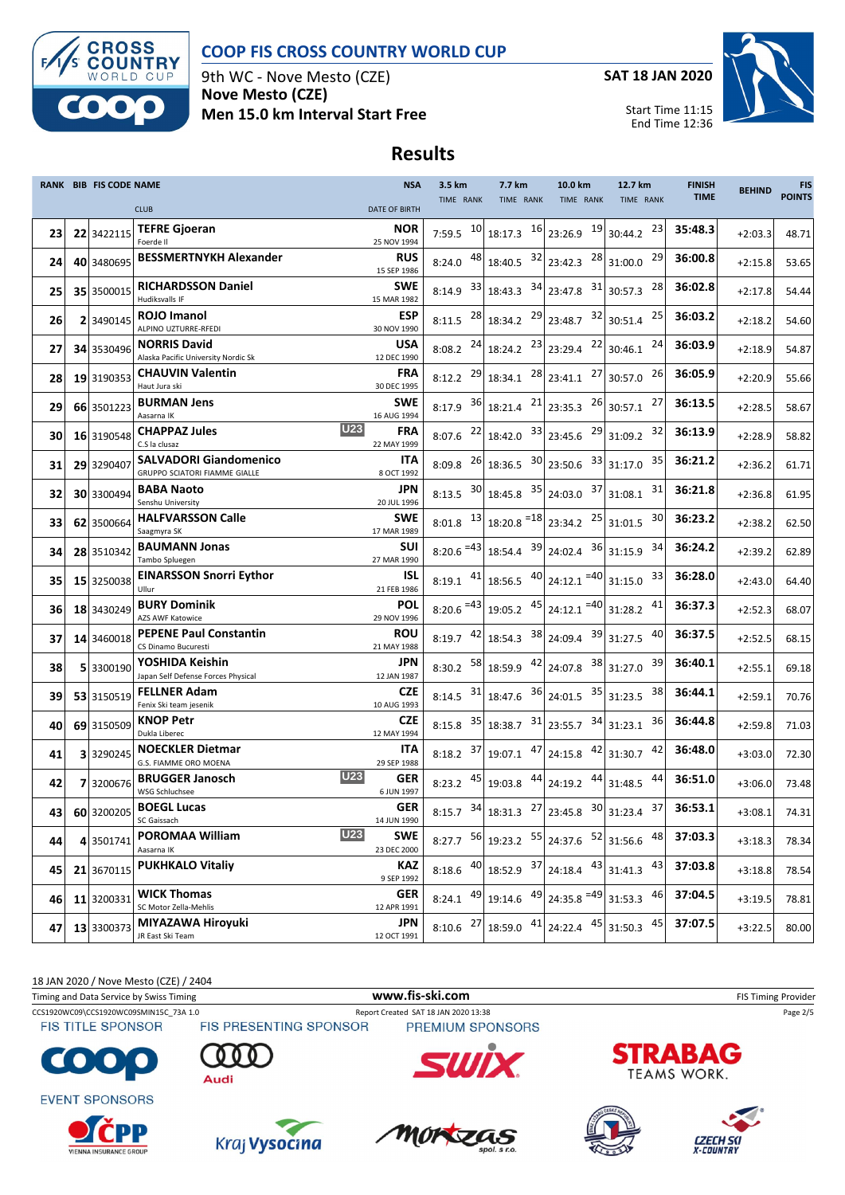

9th WC - Nove Mesto (CZE) **Nove Mesto (CZE) Men 15.0 km Interval Start Free** **SAT 18 JAN 2020**



Start Time 11:15 End Time 12:36

## **Results**

|    | <b>RANK BIB FIS CODE NAME</b> |                                                                | <b>NSA</b>                              | 3.5 km                 | 7.7 km                                                                                         | 10.0 km                                 | 12.7 km                                          | <b>FINISH</b><br><b>TIME</b> | <b>BEHIND</b> | <b>FIS</b><br><b>POINTS</b> |
|----|-------------------------------|----------------------------------------------------------------|-----------------------------------------|------------------------|------------------------------------------------------------------------------------------------|-----------------------------------------|--------------------------------------------------|------------------------------|---------------|-----------------------------|
|    |                               | <b>CLUB</b>                                                    | <b>DATE OF BIRTH</b>                    | TIME RANK              | TIME RANK                                                                                      | TIME RANK                               | TIME RANK                                        |                              |               |                             |
| 23 | 22 3422115                    | <b>TEFRE Gjoeran</b><br>Foerde II                              | <b>NOR</b><br>25 NOV 1994               | 7:59.5                 | $10 \begin{array}{ c c } 10 & 18:17.3 & 16 \end{array}$ 23:26.9                                | 19                                      | 23<br>30:44.2                                    | 35:48.3                      | $+2:03.3$     | 48.71                       |
| 24 | 40 3480695                    | <b>BESSMERTNYKH Alexander</b>                                  | <b>RUS</b><br>15 SEP 1986               | 48 <br>8:24.0          | $18:40.5$ $32$ 23:42.3                                                                         |                                         | $28$ 31:00.0<br>29                               | 36:00.8                      | $+2:15.8$     | 53.65                       |
| 25 | 35 3500015                    | <b>RICHARDSSON Daniel</b><br>Hudiksvalls IF                    | SWE<br>15 MAR 1982                      | 33<br>8:14.9           | $18:43.3$ $34$ 23:47.8                                                                         | 31                                      | 28<br>30:57.3                                    | 36:02.8                      | $+2:17.8$     | 54.44                       |
| 26 | 2 3490145                     | <b>ROJO Imanol</b><br>ALPINO UZTURRE-RFEDI                     | <b>ESP</b><br>30 NOV 1990               | $8:11.5$ 28            | 18:34.2 29                                                                                     | 32<br>23:48.7                           | 25<br>30:51.4                                    | 36:03.2                      | $+2:18.2$     | 54.60                       |
| 27 | 34 3530496                    | <b>NORRIS David</b><br>Alaska Pacific University Nordic Sk     | <b>USA</b><br>12 DEC 1990               | $8:08.2$ 24            | 18:24.2 23                                                                                     | 22<br>23:29.4                           | 24<br>30:46.1                                    | 36:03.9                      | $+2:18.9$     | 54.87                       |
| 28 | 19 3190353                    | <b>CHAUVIN Valentin</b><br>Haut Jura ski                       | <b>FRA</b><br>30 DEC 1995               | 29<br>8:12.2           | 18:34.1                                                                                        | $28$ 23:41.1<br>27                      | 26<br>30:57.0                                    | 36:05.9                      | $+2:20.9$     | 55.66                       |
| 29 | 66 3501223                    | <b>BURMAN Jens</b><br>Aasarna IK                               | <b>SWE</b><br>16 AUG 1994               | 8:17.9                 | $36$ 18:21.4 $21$ 23:35.3                                                                      | 26                                      | 27<br>30:57.1                                    | 36:13.5                      | $+2:28.5$     | 58.67                       |
| 30 | 16 3190548                    | <b>CHAPPAZ Jules</b><br>C.S la clusaz                          | <b>U23</b><br><b>FRA</b><br>22 MAY 1999 | 22<br>8:07.6           | $18:42.0$ $33$ 23:45.6                                                                         | 29                                      | 32<br>31:09.2                                    | 36:13.9                      | $+2:28.9$     | 58.82                       |
| 31 | 29 3290407                    | <b>SALVADORI Giandomenico</b><br>GRUPPO SCIATORI FIAMME GIALLE | <b>ITA</b><br>8 OCT 1992                | 26<br>8:09.8           | $18:36.5$ $30$ 23:50.6                                                                         | 33                                      | 35<br>31:17.0                                    | 36:21.2                      | $+2:36.2$     | 61.71                       |
| 32 | 30 3300494                    | <b>BABA Naoto</b><br>Senshu University                         | JPN.<br>20 JUL 1996                     | $8:13.5$ 30            | 18:45.8 35                                                                                     | 37<br>24:03.0                           | 31<br>31:08.1                                    | 36:21.8                      | $+2:36.8$     | 61.95                       |
| 33 | 62 3500664                    | <b>HALFVARSSON Calle</b><br>Saagmyra SK                        | <b>SWE</b><br>17 MAR 1989               | $8:01.8$ <sup>13</sup> | $18:20.8$ <sup>=18</sup> 23:34.2                                                               | 25                                      | 30<br>31:01.5                                    | 36:23.2                      | $+2:38.2$     | 62.50                       |
| 34 | 28 3510342                    | <b>BAUMANN Jonas</b><br>Tambo Spluegen                         | SUI<br>27 MAR 1990                      | $8:20.6 = 43$          | $18:54.4$ $39$ 24:02.4                                                                         | 36                                      | 34<br>31:15.9                                    | 36:24.2                      | $+2:39.2$     | 62.89                       |
| 35 | 15 3250038                    | <b>EINARSSON Snorri Eythor</b><br>Ullur                        | ISL<br>21 FEB 1986                      | $8:19.1$ $41$          | $18:56.5$ $40$ 24:12.1 = 40                                                                    |                                         | 33<br>31:15.0                                    | 36:28.0                      | $+2:43.0$     | 64.40                       |
| 36 | 18 3430249                    | <b>BURY Dominik</b><br>AZS AWF Katowice                        | <b>POL</b><br>29 NOV 1996               | $8:20.6 = 43$          | 19:05.2 45                                                                                     | $24:12.1$ = 40 31:28.2                  | 41                                               | 36:37.3                      | $+2:52.3$     | 68.07                       |
| 37 | 14 3460018                    | <b>PEPENE Paul Constantin</b><br>CS Dinamo Bucuresti           | ROU<br>21 MAY 1988                      | $8:19.7$ 42            | 18:54.3 38 24:09.4                                                                             |                                         | 39 31:27.5<br>40                                 | 36:37.5                      | $+2:52.5$     | 68.15                       |
| 38 | 5 3300190                     | YOSHIDA Keishin<br>Japan Self Defense Forces Physical          | JPN<br>12 JAN 1987                      | 8:30.2                 | $\begin{array}{ c c c c c c } \hline 58 & 18:59.9 & \hline 42 & 24:07.8 \\ \hline \end{array}$ | 38                                      | 39<br>31:27.0                                    | 36:40.1                      | $+2:55.1$     | 69.18                       |
| 39 | 53 3150519                    | <b>FELLNER Adam</b><br>Fenix Ski team jesenik                  | <b>CZE</b><br>10 AUG 1993               | 8:14.5 $31$            | $18:47.6$ $36$ 24:01.5                                                                         |                                         | $35$ 31:23.5<br>38                               | 36:44.1                      | $+2:59.1$     | 70.76                       |
| 40 | 69 3150509                    | <b>KNOP Petr</b><br>Dukla Liberec                              | <b>CZE</b><br>12 MAY 1994               | 35<br>8:15.8           |                                                                                                | $18:38.7$ $31$ 23:55.7 $34$             | 36<br>31:23.1                                    | 36:44.8                      | $+2:59.8$     | 71.03                       |
| 41 | 3 3290245                     | <b>NOECKLER Dietmar</b><br>G.S. FIAMME ORO MOENA               | <b>ITA</b><br>29 SEP 1988               | 37<br>8:18.2           | $19:07.1$ $47$ 24:15.8                                                                         | 42                                      | 42<br>31:30.7                                    | 36:48.0                      | $+3:03.0$     | 72.30                       |
| 42 | 7 3200676                     | <b>BRUGGER Janosch</b><br>WSG Schluchsee                       | <b>U23</b><br><b>GER</b><br>6 JUN 1997  | $8:23.2$ 45            | 19:03.8 44                                                                                     | 44<br>24:19.2                           | 44<br>31:48.5                                    | 36:51.0                      | $+3:06.0$     | 73.48                       |
| 43 | 60 3200205                    | <b>BOEGL Lucas</b><br>SC Gaissach                              | <b>GER</b><br>14 JUN 1990               |                        | 8:15.7 $34$ 18:31.3 $27$ 23:45.8 $30$ 31:23.4                                                  |                                         | 37                                               | 36:53.1                      | $+3:08.1$     | 74.31                       |
| 44 | 4 3501741                     | <b>POROMAA William</b><br>Aasarna IK                           | <b>U23</b><br><b>SWE</b><br>23 DEC 2000 |                        | 8:27.7 $\begin{array}{ c c c c c } \hline 56 & 19:23.2 & 55 & 24:37.6 \hline \end{array}$      |                                         | $\begin{array}{ c} 52 \end{array}$ 31:56.6<br>48 | 37:03.3                      | $+3:18.3$     | 78.34                       |
| 45 | 21 3670115                    | <b>PUKHKALO Vitaliy</b>                                        | KAZ<br>9 SEP 1992                       | $8:18.6$ $40$          | $18:52.9$ $37$ 24:18.4 $43$ 31:41.3                                                            |                                         | 43                                               | 37:03.8                      | $+3:18.8$     | 78.54                       |
| 46 | 11 3200331                    | <b>WICK Thomas</b><br>SC Motor Zella-Mehlis                    | <b>GER</b><br>12 APR 1991               | 49<br>8:24.1           |                                                                                                | 19:14.6 $\left.49\right $ 24:35.8 $=49$ | 46<br>31:53.3                                    | 37:04.5                      | $+3:19.5$     | 78.81                       |
| 47 | 13 3300373                    | MIYAZAWA Hiroyuki<br>JR East Ski Team                          | JPN<br>12 OCT 1991                      | 27<br>8:10.6           |                                                                                                | 18:59.0 $41$ 24:22.4 $45$ 31:50.3       | 45                                               | 37:07.5                      | $+3:22.5$     | 80.00                       |

18 JAN 2020 / Nove Mesto (CZE) / 2404 Timing and Data Service by Swiss Timing **WWW.fis-Ski.com WWW.fis-Ski.com** FIS Timing Provider CCS1920WC09\CCS1920WC09SMIN15C\_73A 1.0 Report Created SAT 18 JAN 2020 13:38 Page 2/5<br>FIS TITLE SPONSOR FIS PRESENTING SPONSOR PREMIUM SPONSORS **FIS TITLE SPONSOR STRABAG**  $\bullet$  :  $\epsilon$ **TEAMS WORK.** Audi **EVENT SPONSORS** 









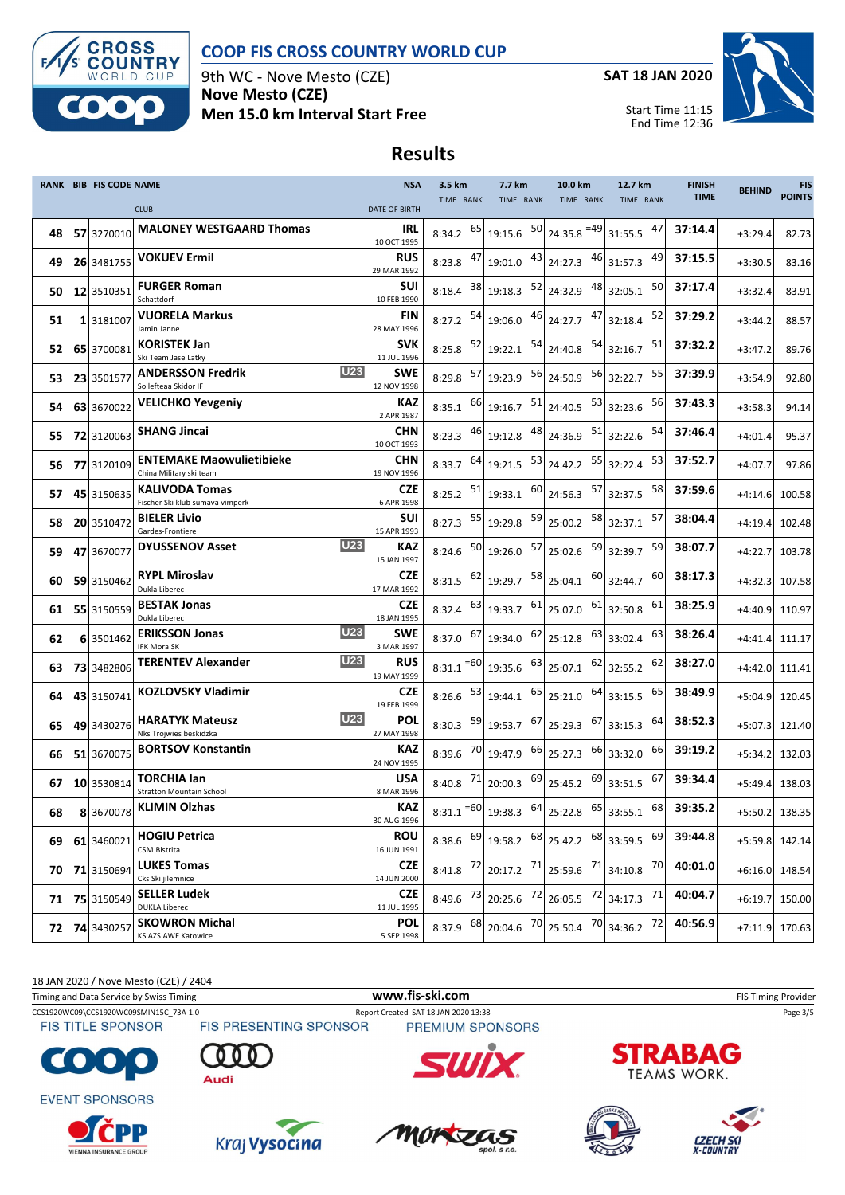

9th WC - Nove Mesto (CZE) **Nove Mesto (CZE) Men 15.0 km Interval Start Free** **SAT 18 JAN 2020**



Start Time 11:15 End Time 12:36

## **Results**

|    | <b>RANK BIB FIS CODE NAME</b> |                                                                | <b>NSA</b>                | 3.5 km        | 7.7 km                                                                | 10.0 km                                                                                                        | 12.7 km          | <b>FINISH</b> | <b>BEHIND</b>  | <b>FIS</b>    |
|----|-------------------------------|----------------------------------------------------------------|---------------------------|---------------|-----------------------------------------------------------------------|----------------------------------------------------------------------------------------------------------------|------------------|---------------|----------------|---------------|
|    |                               | <b>CLUB</b>                                                    | <b>DATE OF BIRTH</b>      | TIME RANK     | TIME RANK                                                             | TIME RANK                                                                                                      | TIME RANK        | <b>TIME</b>   |                | <b>POINTS</b> |
| 48 | 57 3270010                    | <b>MALONEY WESTGAARD Thomas</b>                                | IRL<br>10 OCT 1995        | $8:34.2$ 65   | 19:15.6 50                                                            | 24:35.8 = 49                                                                                                   | 47<br>31:55.5    | 37:14.4       | $+3:29.4$      | 82.73         |
| 49 | 26 3481755                    | <b>VOKUEV Ermil</b>                                            | <b>RUS</b><br>29 MAR 1992 | $8:23.8$ $47$ | 19:01.0 43                                                            | 46<br>24:27.3                                                                                                  | 49<br>31:57.3    | 37:15.5       | $+3:30.5$      | 83.16         |
| 50 | 12 3510351                    | <b>FURGER Roman</b><br>Schattdorf                              | SUI<br>10 FEB 1990        | 38<br>8:18.4  | 19:18.3 $\begin{array}{ c c } \hline 52 & 24:32.9 \hline \end{array}$ | 48                                                                                                             | 50<br>32:05.1    | 37:17.4       | $+3:32.4$      | 83.91         |
| 51 | 1 3181007                     | <b>VUORELA Markus</b><br>Jamin Janne                           | FIN<br>28 MAY 1996        | 54<br>8:27.2  | 19:06.0 46 24:27.7                                                    | 47                                                                                                             | 52<br>32:18.4    | 37:29.2       | $+3:44.2$      | 88.57         |
| 52 | 65 3700081                    | <b>KORISTEK Jan</b><br>Ski Team Jase Latky                     | <b>SVK</b><br>11 JUL 1996 | 52<br>8:25.8  | $19:22.1$ $54$ 24:40.8                                                | 54                                                                                                             | 51<br>32:16.7    | 37:32.2       | $+3:47.2$      | 89.76         |
| 53 | 23 3501577                    | <b>U23</b><br><b>ANDERSSON Fredrik</b><br>Sollefteaa Skidor IF | SWE<br>12 NOV 1998        | 57<br>8:29.8  | $19:23.9$ $56$ 24:50.9                                                | 56                                                                                                             | 55<br>32:22.7    | 37:39.9       | $+3:54.9$      | 92.80         |
| 54 | 63 3670022                    | <b>VELICHKO Yevgeniy</b>                                       | <b>KAZ</b><br>2 APR 1987  | $8:35.1$ 66   | $19:16.7$ $51$ 24:40.5                                                |                                                                                                                | 53 32:23.6<br>56 | 37:43.3       | $+3:58.3$      | 94.14         |
| 55 | 72 3120063                    | <b>SHANG Jincai</b>                                            | <b>CHN</b><br>10 OCT 1993 | 46<br>8:23.3  | 19:12.8                                                               | 48 24:36.9<br>51                                                                                               | 54<br>32:22.6    | 37:46.4       | $+4:01.4$      | 95.37         |
| 56 | 77 3120109                    | <b>ENTEMAKE Maowulietibieke</b><br>China Military ski team     | <b>CHN</b><br>19 NOV 1996 | $8:33.7$ 64   | $19:21.5$ $53$ 24:42.2                                                | 55                                                                                                             | 53<br>32:22.4    | 37:52.7       | $+4:07.7$      | 97.86         |
| 57 | 45 3150635                    | <b>KALIVODA Tomas</b><br>Fischer Ski klub sumava vimperk       | CZE<br>6 APR 1998         | 51<br>8:25.2  | $19:33.1$ $60$ 24:56.3                                                | 57                                                                                                             | 58<br>32:37.5    | 37:59.6       | $+4:14.6$      | 100.58        |
| 58 | 20 3510472                    | <b>BIELER Livio</b><br>Gardes-Frontiere                        | SUI<br>15 APR 1993        | 55<br>8:27.3  | 19:29.8 59                                                            | 58<br>25:00.2                                                                                                  | 57<br>32:37.1    | 38:04.4       | $+4:19.4$      | 102.48        |
| 59 | 47 3670077                    | <b>U23</b><br><b>DYUSSENOV Asset</b>                           | KAZ<br>15 JAN 1997        | 50<br>8:24.6  | 19:26.0 57 25:02.6                                                    | 59                                                                                                             | 59<br>32:39.7    | 38:07.7       | $+4:22.7$      | 103.78        |
| 60 | 59 3150462                    | <b>RYPL Miroslav</b><br>Dukla Liberec                          | <b>CZE</b><br>17 MAR 1992 | 62<br>8:31.5  | $19:29.7$ <sup>58</sup> 25:04.1                                       | 60                                                                                                             | 60<br>32:44.7    | 38:17.3       | $+4:32.3$      | 107.58        |
| 61 | 55 3150559                    | <b>BESTAK Jonas</b><br>Dukla Liberec                           | <b>CZE</b><br>18 JAN 1995 | -63<br>8:32.4 | 19:33.7 61                                                            | 61<br>25:07.0                                                                                                  | 61<br>32:50.8    | 38:25.9       | $+4:40.9$      | 110.97        |
| 62 | 6 3501462                     | U23<br><b>ERIKSSON Jonas</b><br>IFK Mora SK                    | SWE<br>3 MAR 1997         | $8:37.0$ 67   | $19:34.0$ $62$ 25:12.8                                                | 63                                                                                                             | 63<br>33:02.4    | 38:26.4       | $+4:41.4$      | 111.17        |
| 63 | 73 3482806                    | <b>U23</b><br><b>TERENTEV Alexander</b>                        | <b>RUS</b><br>19 MAY 1999 | $8:31.1 = 60$ | 19:35.6 63                                                            | 62<br>25:07.1                                                                                                  | 62<br>32:55.2    | 38:27.0       | $+4:42.0$      | 111.41        |
| 64 | 43 3150741                    | <b>KOZLOVSKY Vladimir</b>                                      | <b>CZE</b><br>19 FEB 1999 | 53<br>8:26.6  | 65<br>19:44.1                                                         | 64<br>25:21.0                                                                                                  | 65<br>33:15.5    | 38:49.9       | $+5:04.9$      | 120.45        |
| 65 | 49 3430276                    | <b>U23</b><br><b>HARATYK Mateusz</b><br>Nks Trojwies beskidzka | POL<br>27 MAY 1998        | 8:30.3        | 59 19:53.7                                                            | $67$ 25:29.3<br>67                                                                                             | 64<br>33:15.3    | 38:52.3       | $+5:07.3$      | 121.40        |
| 66 | 51 3670075                    | <b>BORTSOV Konstantin</b>                                      | <b>KAZ</b><br>24 NOV 1995 | $8:39.6$ 70   | 19:47.9 66 25:27.3                                                    | 66                                                                                                             | 66<br>33:32.0    | 39:19.2       | $+5:34.2$      | 132.03        |
| 67 | 10 3530814                    | <b>TORCHIA lan</b><br><b>Stratton Mountain School</b>          | <b>USA</b><br>8 MAR 1996  | -71<br>8:40.8 | 20:00.3 69                                                            | 69<br>25:45.2                                                                                                  | 67<br>33:51.5    | 39:34.4       | $+5:49.4$      | 138.03        |
| 68 |                               | 8 3670078 KLIMIN Olzhas                                        | KAZ<br>30 AUG 1996        |               |                                                                       | 8:31.1 = $60 \mid 19:38.3$ $64 \mid 25:22.8$ $65 \mid 33:55.1$                                                 | 68               | 39:35.2       | +5:50.2 138.35 |               |
| 69 | 61 3460021                    | <b>HOGIU Petrica</b><br>CSM Bistrita                           | <b>ROU</b><br>16 JUN 1991 |               |                                                                       | 8:38.6 $\begin{array}{ c c c c c c c c } \hline 69 & 19:58.2 & 68 & 25:42.2 & 68 & 33:59.5 \hline \end{array}$ | 69               | 39:44.8       | +5:59.8 142.14 |               |
| 70 | 71 3150694                    | <b>LUKES Tomas</b><br>Cks Ski jilemnice                        | <b>CZE</b><br>14 JUN 2000 | $8:41.8$ 72   |                                                                       | 20:17.2 $^{71}$ 25:59.6 $^{71}$ 34:10.8                                                                        | 70               | 40:01.0       | $+6:16.0$      | 148.54        |
| 71 | 75 3150549                    | <b>SELLER Ludek</b><br><b>DUKLA Liberec</b>                    | <b>CZE</b><br>11 JUL 1995 | $8:49.6$ 73   |                                                                       | 20:25.6 $\begin{bmatrix} 72 \\ 26:05.5 \end{bmatrix}$ 72 34:17.3                                               | 71               | 40:04.7       | $+6:19.7$      | 150.00        |
| 72 | 74 3430257                    | <b>SKOWRON Michal</b><br>KS AZS AWF Katowice                   | <b>POL</b><br>5 SEP 1998  | $8:37.9$ 68   | 20:04.6 70                                                            | 25:50.4 70                                                                                                     | 34:36.2 72       | 40:56.9       | $+7:11.9$      | 170.63        |

18 JAN 2020 / Nove Mesto (CZE) / 2404

Timing and Data Service by Swiss Timing **WWW.fis-Ski.com WWW.fis-Ski.com** FIS Timing Provider

CCS1920WC09\CCS1920WC09SMIN15C\_73A 1.0 Report Created SAT 18 JAN 2020 13:38 Page 3/5<br>FIS TITLE SPONSOR FIS PRESENTING SPONSOR PREMIUM SPONSORS **FIS TITLE SPONSOR** 

 $\bullet$  :

**EVENT SPONSORS** 

















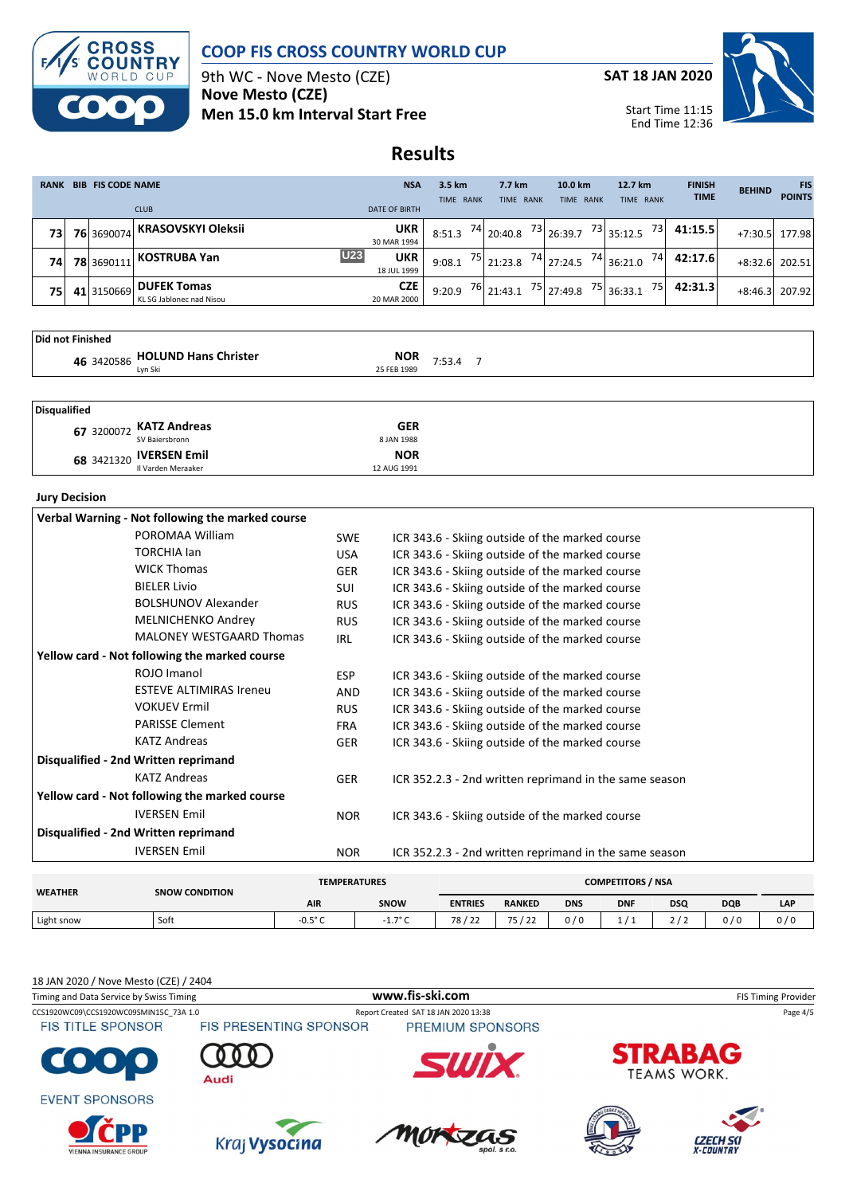

9th WC - Nove Mesto (CZE) **Nove Mesto (CZE) Men 15.0 km Interval Start Free** **SAT 18 JAN 2020**



Start Time 11:15 End Time 12:36

# **Results**

| <b>RANK</b>      | <b>BIB FIS CODE NAME</b> |            | <b>NSA</b>                                     | 3.5 km                           | 7.7 km    | 10.0 km                                             | 12.7 km      | <b>FINISH</b><br><b>TIME</b> | <b>BEHIND</b> | <b>FIS</b><br><b>POINTS</b> |        |
|------------------|--------------------------|------------|------------------------------------------------|----------------------------------|-----------|-----------------------------------------------------|--------------|------------------------------|---------------|-----------------------------|--------|
|                  |                          |            | <b>CLUB</b>                                    | <b>DATE OF BIRTH</b>             | TIME RANK | TIME RANK                                           | TIME RANK    | TIME RANK                    |               |                             |        |
| 73               |                          | 76 3690074 | KRASOVSKYI Oleksii                             | <b>UKR</b><br>30 MAR 1994        | 8:51.3    | $\frac{74}{20:40.8}$                                | $73$ 26:39.7 | $\frac{73}{35:12.5}$<br>731  | 41:15.5       | $+7:30.5$                   | 177.98 |
| 74               |                          | 78 3690111 | KOSTRUBA Yan                                   | U23<br><b>UKR</b><br>18 JUL 1999 | 9:08.1    | $\begin{array}{ c c }\n 75 & 21:23.8\n \end{array}$ | 74 27:24.5   | $74$ 36:21.0<br>74           | 42:17.6       | $+8:32.6$                   | 202.51 |
| 75               |                          | 41 3150669 | <b>DUFEK Tomas</b><br>KL SG Jablonec nad Nisou | <b>CZE</b><br>20 MAR 2000        | 9:20.9    | $76$ 21:43.1                                        | 75 27:49.8   | $75$ 36:33.1<br>75           | 42:31.3       | $+8:46.3$                   | 207.92 |
| Did not Einichod |                          |            |                                                |                                  |           |                                                     |              |                              |               |                             |        |

| TDIA NOT FINISHEA |                                 |             |        |  |
|-------------------|---------------------------------|-------------|--------|--|
|                   | 46 3420586 HOLUND Hans Christer | <b>NOR</b>  | 7:53.4 |  |
|                   |                                 | 25 FEB 1989 |        |  |
|                   |                                 |             |        |  |
|                   |                                 |             |        |  |
| Disqualified      |                                 |             |        |  |

| 67 3200072 KATZ Andreas | <b>GER</b>  |
|-------------------------|-------------|
| SV Baiersbronn          | 8 JAN 1988  |
| 68 3421320 IVERSEN Emil | <b>NOR</b>  |
| Il Varden Meraaker      | 12 AUG 1991 |

#### **Jury Decision**

| Verbal Warning - Not following the marked course |            |                                                        |
|--------------------------------------------------|------------|--------------------------------------------------------|
| POROMAA William                                  | <b>SWE</b> | ICR 343.6 - Skiing outside of the marked course        |
| <b>TORCHIA lan</b>                               | <b>USA</b> | ICR 343.6 - Skiing outside of the marked course        |
| <b>WICK Thomas</b>                               | <b>GER</b> | ICR 343.6 - Skiing outside of the marked course        |
| <b>BIELER Livio</b>                              | SUI        | ICR 343.6 - Skiing outside of the marked course        |
| <b>BOLSHUNOV Alexander</b>                       | <b>RUS</b> | ICR 343.6 - Skiing outside of the marked course        |
| <b>MELNICHENKO Andrey</b>                        | <b>RUS</b> | ICR 343.6 - Skiing outside of the marked course        |
| <b>MALONEY WESTGAARD Thomas</b>                  | IRL        | ICR 343.6 - Skiing outside of the marked course        |
| Yellow card - Not following the marked course    |            |                                                        |
| ROJO Imanol                                      | <b>ESP</b> | ICR 343.6 - Skiing outside of the marked course        |
| <b>ESTEVE ALTIMIRAS Ireneu</b>                   | AND        | ICR 343.6 - Skiing outside of the marked course        |
| <b>VOKUEV Ermil</b>                              | <b>RUS</b> | ICR 343.6 - Skiing outside of the marked course        |
| <b>PARISSE Clement</b>                           | <b>FRA</b> | ICR 343.6 - Skiing outside of the marked course        |
| <b>KATZ Andreas</b>                              | GER        | ICR 343.6 - Skiing outside of the marked course        |
| Disqualified - 2nd Written reprimand             |            |                                                        |
| <b>KATZ Andreas</b>                              | GER        | ICR 352.2.3 - 2nd written reprimand in the same season |
| Yellow card - Not following the marked course    |            |                                                        |
| <b>IVERSEN Emil</b>                              | <b>NOR</b> | ICR 343.6 - Skiing outside of the marked course        |
| Disqualified - 2nd Written reprimand             |            |                                                        |
| <b>IVERSEN Emil</b>                              | <b>NOR</b> | ICR 352.2.3 - 2nd written reprimand in the same season |

| <b>WEATHER</b> | <b>SNOW CONDITION</b> | <b>COMPETITORS / NSA</b><br><b>TEMPERATURES</b> |                  |                                   |               |            |            |            |            |            |
|----------------|-----------------------|-------------------------------------------------|------------------|-----------------------------------|---------------|------------|------------|------------|------------|------------|
|                |                       | <b>AIR</b>                                      | <b>SNOW</b>      | <b>ENTRIES</b>                    | <b>RANKED</b> | <b>DNS</b> | <b>DNF</b> | <b>DSQ</b> | <b>DQB</b> | <b>LAP</b> |
| Light snow     | Soft                  | -0.5° $\cap$                                    | 1.79C<br>$\pm$ . | 78 <sub>1</sub><br>ר ר'<br>$\sim$ | 75122<br>- 1  | 0/0        |            | 21         | 0/0        | 0/0        |

#### 18 JAN 2020 / Nove Mesto (CZE) / 2404

| Timing and Data Service by Swiss Timing       |                               | www.fis-ski.com                      | <b>FIS Timing Provider</b> |                                      |  |  |  |
|-----------------------------------------------|-------------------------------|--------------------------------------|----------------------------|--------------------------------------|--|--|--|
| CCS1920WC09\CCS1920WC09SMIN15C 73A 1.0        |                               | Report Created SAT 18 JAN 2020 13:38 | Page 4/5                   |                                      |  |  |  |
| <b>FIS TITLE SPONSOR</b>                      | <b>FIS PRESENTING SPONSOR</b> | PREMIUM SPONSORS                     |                            |                                      |  |  |  |
| <b>COOO</b>                                   | Audi                          |                                      |                            | <b>STRABAG</b><br><b>TEAMS WORK.</b> |  |  |  |
| <b>EVENT SPONSORS</b>                         |                               |                                      |                            |                                      |  |  |  |
| <b>D</b> CPP<br><b>VIENNA INSURANCE GROUP</b> | Kraj Vysocina                 | Mortzas<br>spol. $s$ r.o.            |                            | <b>CZECH SKI</b><br>X-COUNTRY        |  |  |  |